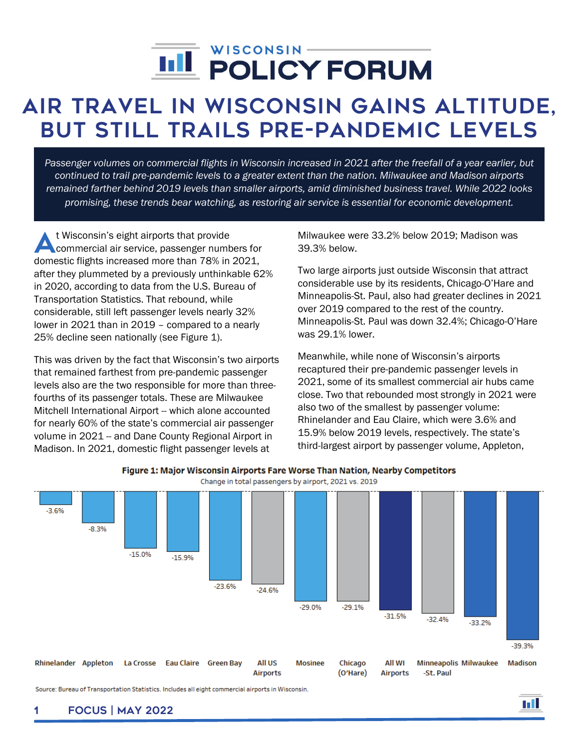# j

# Air Travel in Wisconsin Gains Altitude, But Still Trails Pre-Pandemic Levels

*Passenger volumes on commercial flights in Wisconsin increased in 2021 after the freefall of a year earlier, but continued to trail pre-pandemic levels to a greater extent than the nation. Milwaukee and Madison airports remained farther behind 2019 levels than smaller airports, amid diminished business travel. While 2022 looks promising, these trends bear watching, as restoring air service is essential for economic development.*

t Wisconsin's eight airports that provide commercial air service, passenger numbers for domestic flights increased more than 78% in 2021, after they plummeted by a previously unthinkable 62% in 2020, according to data from the U.S. Bureau of Transportation Statistics. That rebound, while considerable, still left passenger levels nearly 32% lower in 2021 than in 2019 – compared to a nearly 25% decline seen nationally (see Figure 1). A

This was driven by the fact that Wisconsin's two airports that remained farthest from pre-pandemic passenger levels also are the two responsible for more than threefourths of its passenger totals. These are Milwaukee Mitchell International Airport -- which alone accounted for nearly 60% of the state's commercial air passenger volume in 2021 -- and Dane County Regional Airport in Madison. In 2021, domestic flight passenger levels at

Milwaukee were 33.2% below 2019; Madison was 39.3% below.

Two large airports just outside Wisconsin that attract considerable use by its residents, Chicago-O'Hare and Minneapolis-St. Paul, also had greater declines in 2021 over 2019 compared to the rest of the country. Minneapolis-St. Paul was down 32.4%; Chicago-O'Hare was 29.1% lower.

Meanwhile, while none of Wisconsin's airports recaptured their pre-pandemic passenger levels in 2021, some of its smallest commercial air hubs came close. Two that rebounded most strongly in 2021 were also two of the smallest by passenger volume: Rhinelander and Eau Claire, which were 3.6% and 15.9% below 2019 levels, respectively. The state's third-largest airport by passenger volume, Appleton,



Figure 1: Major Wisconsin Airports Fare Worse Than Nation, Nearby Competitors Change in total passengers by airport, 2021 vs. 2019

Source: Bureau of Transportation Statistics. Includes all eight commercial airports in Wisconsin.

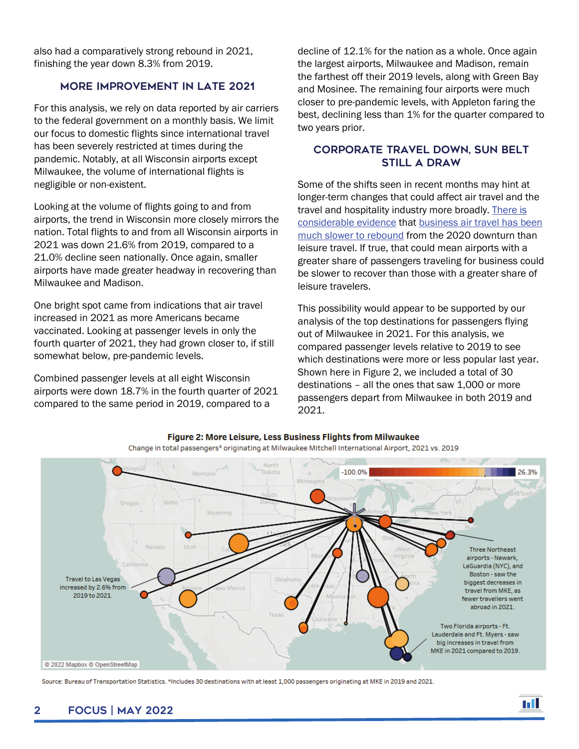also had a comparatively strong rebound in 2021, finishing the year down 8.3% from 2019.

#### More improvement in late 2021

For this analysis, we rely on data reported by air carriers to the federal government on a monthly basis. We limit our focus to domestic flights since international travel has been severely restricted at times during the pandemic. Notably, at all Wisconsin airports except Milwaukee, the volume of international flights is negligible or non-existent.

Looking at the volume of flights going to and from airports, the trend in Wisconsin more closely mirrors the nation. Total flights to and from all Wisconsin airports in 2021 was down 21.6% from 2019, compared to a 21.0% decline seen nationally. Once again, smaller airports have made greater headway in recovering than Milwaukee and Madison.

One bright spot came from indications that air travel increased in 2021 as more Americans became vaccinated. Looking at passenger levels in only the fourth quarter of 2021, they had grown closer to, if still somewhat below, pre-pandemic levels.

Combined passenger levels at all eight Wisconsin airports were down 18.7% in the fourth quarter of 2021 compared to the same period in 2019, compared to a

decline of 12.1% for the nation as a whole. Once again the largest airports, Milwaukee and Madison, remain the farthest off their 2019 levels, along with Green Bay and Mosinee. The remaining four airports were much closer to pre-pandemic levels, with Appleton faring the best, declining less than 1% for the quarter compared to two years prior.

#### Corporate travel down, Sun Belt still a draw

Some of the shifts seen in recent months may hint at longer-term changes that could affect air travel and the travel and hospitality industry more broadly. [There is](https://www.latimes.com/business/story/2022-01-30/covid-business-travel-airlines)  [considerable evidence](https://www.latimes.com/business/story/2022-01-30/covid-business-travel-airlines) that [business air travel has been](https://www.marketplace.org/2021/11/25/the-travel-industry-is-still-feeling-the-loss-of-business-customers/)  [much slower to rebound](https://www.marketplace.org/2021/11/25/the-travel-industry-is-still-feeling-the-loss-of-business-customers/) from the 2020 downturn than leisure travel. If true, that could mean airports with a greater share of passengers traveling for business could be slower to recover than those with a greater share of leisure travelers.

This possibility would appear to be supported by our analysis of the top destinations for passengers flying out of Milwaukee in 2021. For this analysis, we compared passenger levels relative to 2019 to see which destinations were more or less popular last year. Shown here in Figure 2, we included a total of 30 destinations – all the ones that saw 1,000 or more passengers depart from Milwaukee in both 2019 and 2021.



Figure 2: More Leisure, Less Business Flights from Milwaukee

Source: Bureau of Transportation Statistics. \*Includes 30 destinations with at least 1,000 passengers originating at MKE in 2019 and 2021.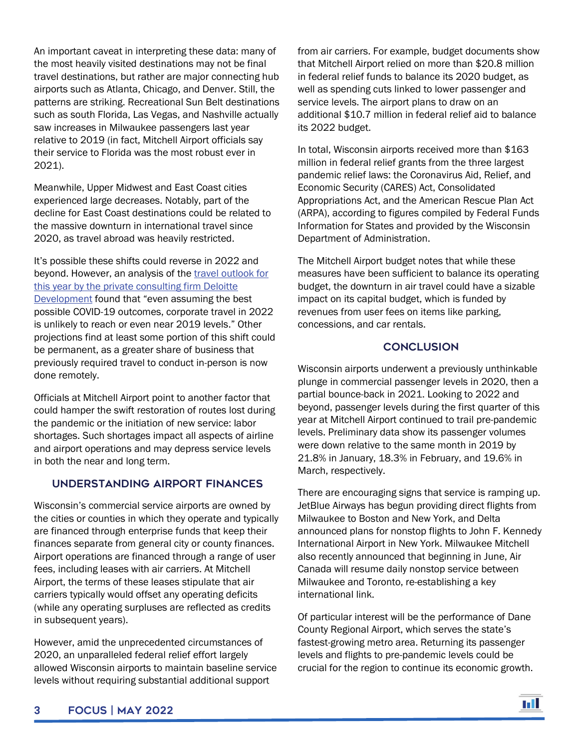An important caveat in interpreting these data: many of the most heavily visited destinations may not be final travel destinations, but rather are major connecting hub airports such as Atlanta, Chicago, and Denver. Still, the patterns are striking. Recreational Sun Belt destinations such as south Florida, Las Vegas, and Nashville actually saw increases in Milwaukee passengers last year relative to 2019 (in fact, Mitchell Airport officials say their service to Florida was the most robust ever in 2021).

Meanwhile, Upper Midwest and East Coast cities experienced large decreases. Notably, part of the decline for East Coast destinations could be related to the massive downturn in international travel since 2020, as travel abroad was heavily restricted.

It's possible these shifts could reverse in 2022 and beyond. However, an analysis of the [travel outlook](https://www2.deloitte.com/us/en/pages/consumer-business/articles/travel-hospitality-industry-outlook.htm) for this year by the private consulting firm Deloitte [Development](https://www2.deloitte.com/us/en/pages/consumer-business/articles/travel-hospitality-industry-outlook.htm) found that "even assuming the best possible COVID-19 outcomes, corporate travel in 2022 is unlikely to reach or even near 2019 levels." Other projections find at least some portion of this shift could be permanent, as a greater share of business that previously required travel to conduct in-person is now done remotely.

Officials at Mitchell Airport point to another factor that could hamper the swift restoration of routes lost during the pandemic or the initiation of new service: labor shortages. Such shortages impact all aspects of airline and airport operations and may depress service levels in both the near and long term.

## Understanding airport finances

Wisconsin's commercial service airports are owned by the cities or counties in which they operate and typically are financed through enterprise funds that keep their finances separate from general city or county finances. Airport operations are financed through a range of user fees, including leases with air carriers. At Mitchell Airport, the terms of these leases stipulate that air carriers typically would offset any operating deficits (while any operating surpluses are reflected as credits in subsequent years).

However, amid the unprecedented circumstances of 2020, an unparalleled federal relief effort largely allowed Wisconsin airports to maintain baseline service levels without requiring substantial additional support

from air carriers. For example, budget documents show that Mitchell Airport relied on more than \$20.8 million in federal relief funds to balance its 2020 budget, as well as spending cuts linked to lower passenger and service levels. The airport plans to draw on an additional \$10.7 million in federal relief aid to balance its 2022 budget.

In total, Wisconsin airports received more than \$163 million in federal relief grants from the three largest pandemic relief laws: the Coronavirus Aid, Relief, and Economic Security (CARES) Act, Consolidated Appropriations Act, and the American Rescue Plan Act (ARPA), according to figures compiled by Federal Funds Information for States and provided by the Wisconsin Department of Administration.

The Mitchell Airport budget notes that while these measures have been sufficient to balance its operating budget, the downturn in air travel could have a sizable impact on its capital budget, which is funded by revenues from user fees on items like parking, concessions, and car rentals.

## **CONCLUSION**

Wisconsin airports underwent a previously unthinkable plunge in commercial passenger levels in 2020, then a partial bounce-back in 2021. Looking to 2022 and beyond, passenger levels during the first quarter of this year at Mitchell Airport continued to trail pre-pandemic levels. Preliminary data show its passenger volumes were down relative to the same month in 2019 by 21.8% in January, 18.3% in February, and 19.6% in March, respectively.

There are encouraging signs that service is ramping up. JetBlue Airways has begun providing direct flights from Milwaukee to Boston and New York, and Delta announced plans for nonstop flights to John F. Kennedy International Airport in New York. Milwaukee Mitchell also recently announced that beginning in June, Air Canada will resume daily nonstop service between Milwaukee and Toronto, re-establishing a key international link.

Of particular interest will be the performance of Dane County Regional Airport, which serves the state's fastest-growing metro area. Returning its passenger levels and flights to pre-pandemic levels could be crucial for the region to continue its economic growth.